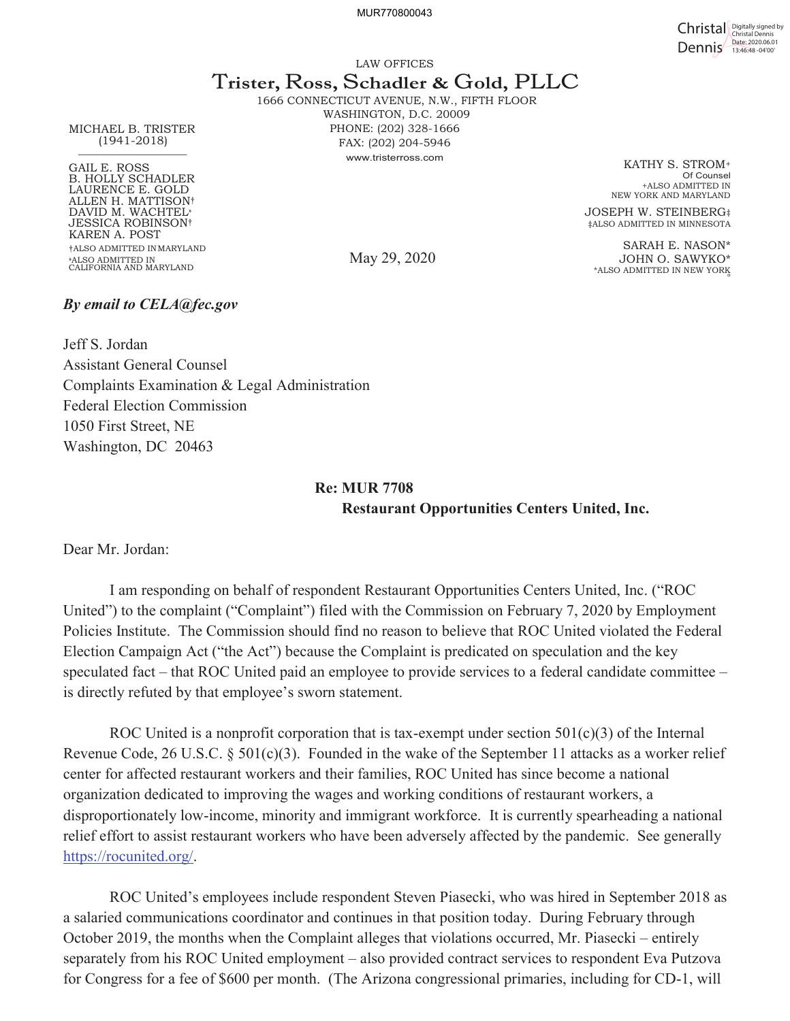MUR770800043

Christal Digitally signed by Dennis Date: 2020.06.01

LAW OFFICES

# T**rister,** R**oss,** S**chadler &** G**old,** PLLC

1666 CONNECTICUT AVENUE, N.W., FIFTH FLOOR WASHINGTON, D.C. 20009 PHONE: (202) 328-1666 FAX: (202) 204-5946 www.tristerross.com

May 29, 2020

KATHY S. STROM+ Of Counsel +ALSO ADMITTED IN NEW YORK AND MARYLAND

JOSEPH W. STEINBERG‡ ‡ALSO ADMITTED IN MINNESOTA

SARAH E. NASON\* JOHN O. SAWYKO\* \*ALSO ADMITTED IN NEW YORK º

MICHAEL B. TRISTER (1941-2018)  $\frac{1}{2}$  ,  $\frac{1}{2}$  ,  $\frac{1}{2}$  ,  $\frac{1}{2}$  ,  $\frac{1}{2}$  ,  $\frac{1}{2}$  ,  $\frac{1}{2}$  ,  $\frac{1}{2}$  ,  $\frac{1}{2}$  ,  $\frac{1}{2}$  ,  $\frac{1}{2}$  ,  $\frac{1}{2}$  ,  $\frac{1}{2}$  ,  $\frac{1}{2}$  ,  $\frac{1}{2}$  ,  $\frac{1}{2}$  ,  $\frac{1}{2}$  ,  $\frac{1}{2}$  ,  $\frac{1$ 

GAIL E. ROSS B. HOLLY SCHADLER LAURENCE E. GOLD ALLEN H. MATTISON† DAVID M. WACHTEL» JESSICA ROBINSON† KAREN A. POST †ALSO ADMITTED IN MARYLAND »ALSO ADMITTED IN CALIFORNIA AND MARYLAND

### *By email to CELA@fec.gov*

Jeff S. Jordan Assistant General Counsel Complaints Examination & Legal Administration Federal Election Commission 1050 First Street, NE Washington, DC 20463

## **Re: MUR 7708 Restaurant Opportunities Centers United, Inc.**

Dear Mr. Jordan:

I am responding on behalf of respondent Restaurant Opportunities Centers United, Inc. ("ROC United") to the complaint ("Complaint") filed with the Commission on February 7, 2020 by Employment Policies Institute. The Commission should find no reason to believe that ROC United violated the Federal Election Campaign Act ("the Act") because the Complaint is predicated on speculation and the key speculated fact – that ROC United paid an employee to provide services to a federal candidate committee – is directly refuted by that employee's sworn statement.

ROC United is a nonprofit corporation that is tax-exempt under section  $501(c)(3)$  of the Internal Revenue Code, 26 U.S.C. § 501(c)(3). Founded in the wake of the September 11 attacks as a worker relief center for affected restaurant workers and their families, ROC United has since become a national organization dedicated to improving the wages and working conditions of restaurant workers, a disproportionately low-income, minority and immigrant workforce. It is currently spearheading a national relief effort to assist restaurant workers who have been adversely affected by the pandemic. See generally https://rocunited.org/.

ROC United's employees include respondent Steven Piasecki, who was hired in September 2018 as a salaried communications coordinator and continues in that position today. During February through October 2019, the months when the Complaint alleges that violations occurred, Mr. Piasecki – entirely separately from his ROC United employment – also provided contract services to respondent Eva Putzova for Congress for a fee of \$600 per month. (The Arizona congressional primaries, including for CD-1, will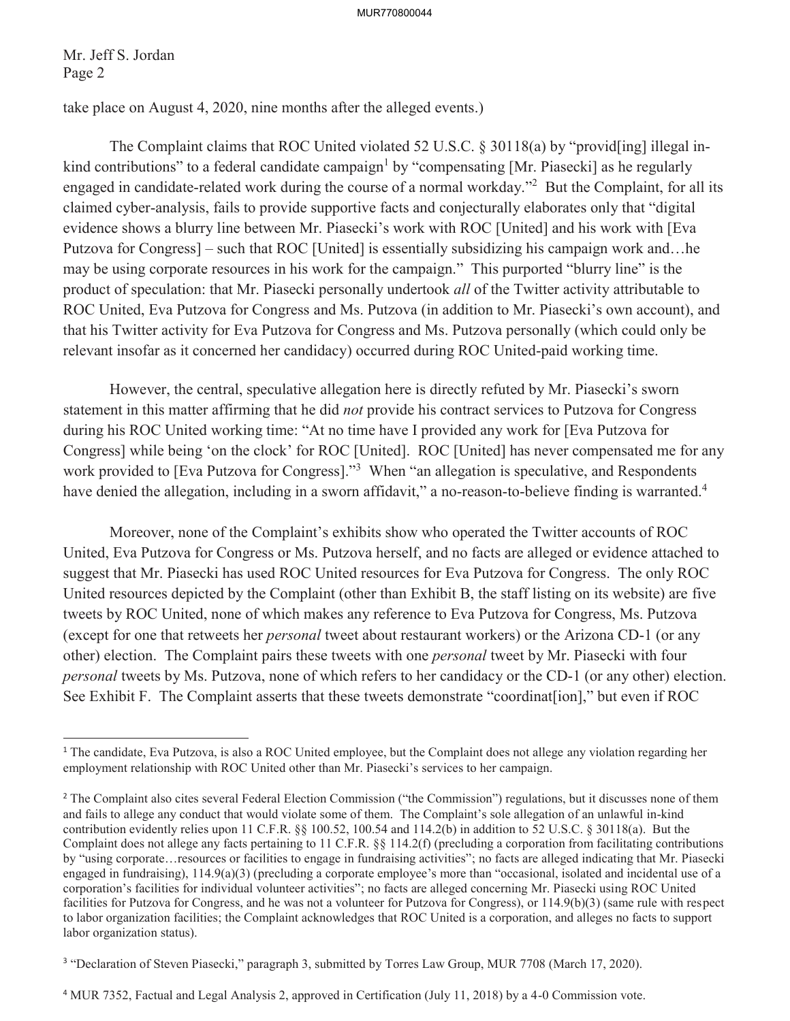#### MUR770800044

Mr. Jeff S. Jordan Page 2

 $\overline{a}$ 

take place on August 4, 2020, nine months after the alleged events.)

The Complaint claims that ROC United violated 52 U.S.C. § 30118(a) by "provid[ing] illegal inkind contributions" to a federal candidate campaign<sup>1</sup> by "compensating [Mr. Piasecki] as he regularly engaged in candidate-related work during the course of a normal workday."<sup>2</sup> But the Complaint, for all its claimed cyber-analysis, fails to provide supportive facts and conjecturally elaborates only that "digital evidence shows a blurry line between Mr. Piasecki's work with ROC [United] and his work with [Eva Putzova for Congress] – such that ROC [United] is essentially subsidizing his campaign work and…he may be using corporate resources in his work for the campaign." This purported "blurry line" is the product of speculation: that Mr. Piasecki personally undertook *all* of the Twitter activity attributable to ROC United, Eva Putzova for Congress and Ms. Putzova (in addition to Mr. Piasecki's own account), and that his Twitter activity for Eva Putzova for Congress and Ms. Putzova personally (which could only be relevant insofar as it concerned her candidacy) occurred during ROC United-paid working time.

However, the central, speculative allegation here is directly refuted by Mr. Piasecki's sworn statement in this matter affirming that he did *not* provide his contract services to Putzova for Congress during his ROC United working time: "At no time have I provided any work for [Eva Putzova for Congress] while being 'on the clock' for ROC [United]. ROC [United] has never compensated me for any work provided to [Eva Putzova for Congress]."<sup>3</sup> When "an allegation is speculative, and Respondents have denied the allegation, including in a sworn affidavit," a no-reason-to-believe finding is warranted.<sup>4</sup>

Moreover, none of the Complaint's exhibits show who operated the Twitter accounts of ROC United, Eva Putzova for Congress or Ms. Putzova herself, and no facts are alleged or evidence attached to suggest that Mr. Piasecki has used ROC United resources for Eva Putzova for Congress. The only ROC United resources depicted by the Complaint (other than Exhibit B, the staff listing on its website) are five tweets by ROC United, none of which makes any reference to Eva Putzova for Congress, Ms. Putzova (except for one that retweets her *personal* tweet about restaurant workers) or the Arizona CD-1 (or any other) election. The Complaint pairs these tweets with one *personal* tweet by Mr. Piasecki with four *personal* tweets by Ms. Putzova, none of which refers to her candidacy or the CD-1 (or any other) election. See Exhibit F. The Complaint asserts that these tweets demonstrate "coordinat[ion]," but even if ROC

<sup>&</sup>lt;sup>1</sup> The candidate, Eva Putzova, is also a ROC United employee, but the Complaint does not allege any violation regarding her employment relationship with ROC United other than Mr. Piasecki's services to her campaign.

<sup>&</sup>lt;sup>2</sup> The Complaint also cites several Federal Election Commission ("the Commission") regulations, but it discusses none of them and fails to allege any conduct that would violate some of them. The Complaint's sole allegation of an unlawful in-kind contribution evidently relies upon 11 C.F.R. §§ 100.52, 100.54 and 114.2(b) in addition to 52 U.S.C. § 30118(a). But the Complaint does not allege any facts pertaining to 11 C.F.R. §§ 114.2(f) (precluding a corporation from facilitating contributions by "using corporate…resources or facilities to engage in fundraising activities"; no facts are alleged indicating that Mr. Piasecki engaged in fundraising), 114.9(a)(3) (precluding a corporate employee's more than "occasional, isolated and incidental use of a corporation's facilities for individual volunteer activities"; no facts are alleged concerning Mr. Piasecki using ROC United facilities for Putzova for Congress, and he was not a volunteer for Putzova for Congress), or 114.9(b)(3) (same rule with respect to labor organization facilities; the Complaint acknowledges that ROC United is a corporation, and alleges no facts to support labor organization status).

<sup>&</sup>lt;sup>3</sup> "Declaration of Steven Piasecki," paragraph 3, submitted by Torres Law Group, MUR 7708 (March 17, 2020).

<sup>4</sup> MUR 7352, Factual and Legal Analysis 2, approved in Certification (July 11, 2018) by a 4-0 Commission vote.